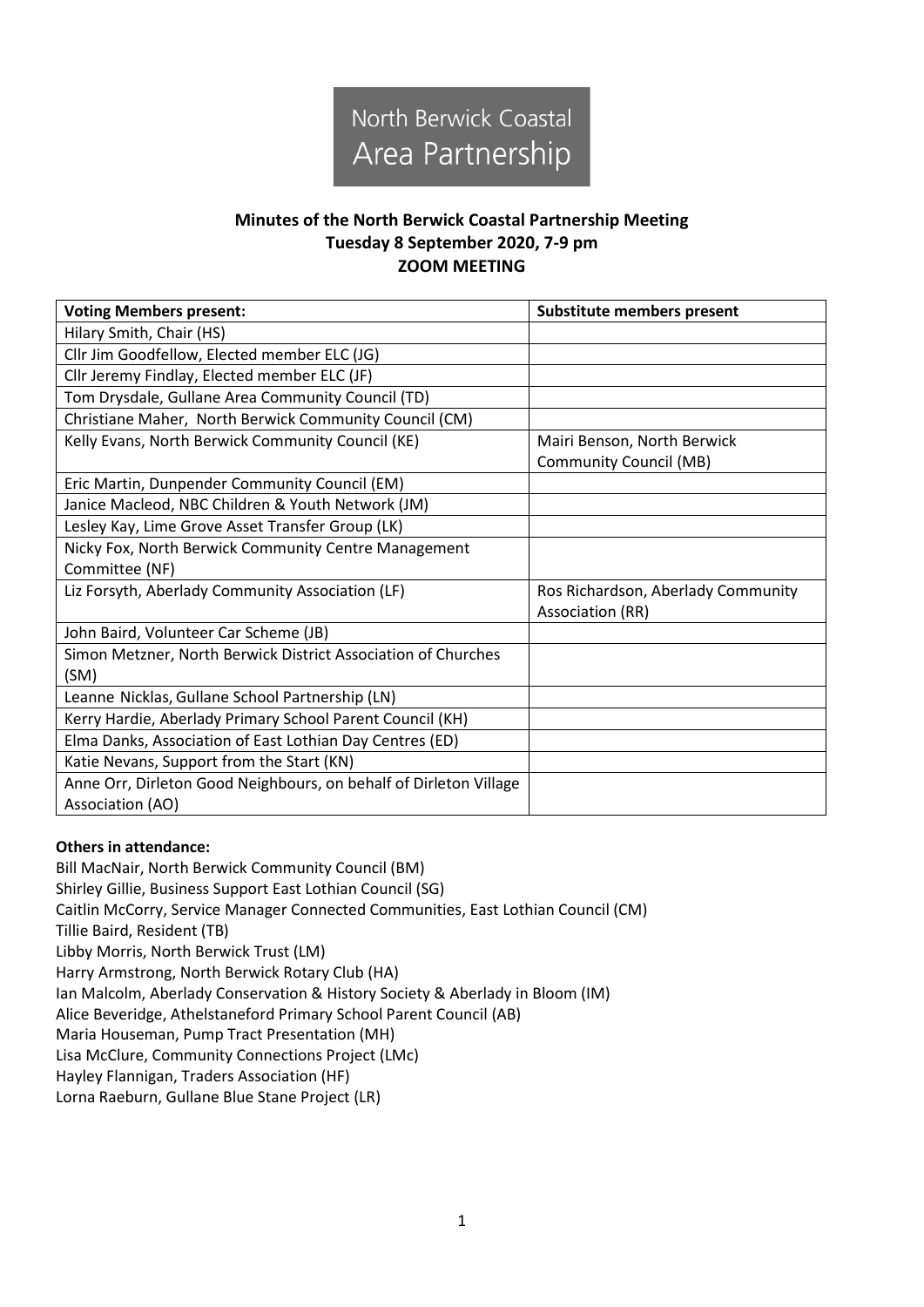

## **Minutes of the North Berwick Coastal Partnership Meeting Tuesday 8 September 2020, 7-9 pm ZOOM MEETING**

| <b>Voting Members present:</b>                                    | <b>Substitute members present</b>  |  |
|-------------------------------------------------------------------|------------------------------------|--|
| Hilary Smith, Chair (HS)                                          |                                    |  |
| Cllr Jim Goodfellow, Elected member ELC (JG)                      |                                    |  |
| Cllr Jeremy Findlay, Elected member ELC (JF)                      |                                    |  |
| Tom Drysdale, Gullane Area Community Council (TD)                 |                                    |  |
| Christiane Maher, North Berwick Community Council (CM)            |                                    |  |
| Kelly Evans, North Berwick Community Council (KE)                 | Mairi Benson, North Berwick        |  |
|                                                                   | <b>Community Council (MB)</b>      |  |
| Eric Martin, Dunpender Community Council (EM)                     |                                    |  |
| Janice Macleod, NBC Children & Youth Network (JM)                 |                                    |  |
| Lesley Kay, Lime Grove Asset Transfer Group (LK)                  |                                    |  |
| Nicky Fox, North Berwick Community Centre Management              |                                    |  |
| Committee (NF)                                                    |                                    |  |
| Liz Forsyth, Aberlady Community Association (LF)                  | Ros Richardson, Aberlady Community |  |
|                                                                   | Association (RR)                   |  |
| John Baird, Volunteer Car Scheme (JB)                             |                                    |  |
| Simon Metzner, North Berwick District Association of Churches     |                                    |  |
| (SM)                                                              |                                    |  |
| Leanne Nicklas, Gullane School Partnership (LN)                   |                                    |  |
| Kerry Hardie, Aberlady Primary School Parent Council (KH)         |                                    |  |
| Elma Danks, Association of East Lothian Day Centres (ED)          |                                    |  |
| Katie Nevans, Support from the Start (KN)                         |                                    |  |
| Anne Orr, Dirleton Good Neighbours, on behalf of Dirleton Village |                                    |  |
| Association (AO)                                                  |                                    |  |

## **Others in attendance:**

Bill MacNair, North Berwick Community Council (BM) Shirley Gillie, Business Support East Lothian Council (SG) Caitlin McCorry, Service Manager Connected Communities, East Lothian Council (CM) Tillie Baird, Resident (TB) Libby Morris, North Berwick Trust (LM) Harry Armstrong, North Berwick Rotary Club (HA) Ian Malcolm, Aberlady Conservation & History Society & Aberlady in Bloom (IM) Alice Beveridge, Athelstaneford Primary School Parent Council (AB) Maria Houseman, Pump Tract Presentation (MH) Lisa McClure, Community Connections Project (LMc) Hayley Flannigan, Traders Association (HF) Lorna Raeburn, Gullane Blue Stane Project (LR)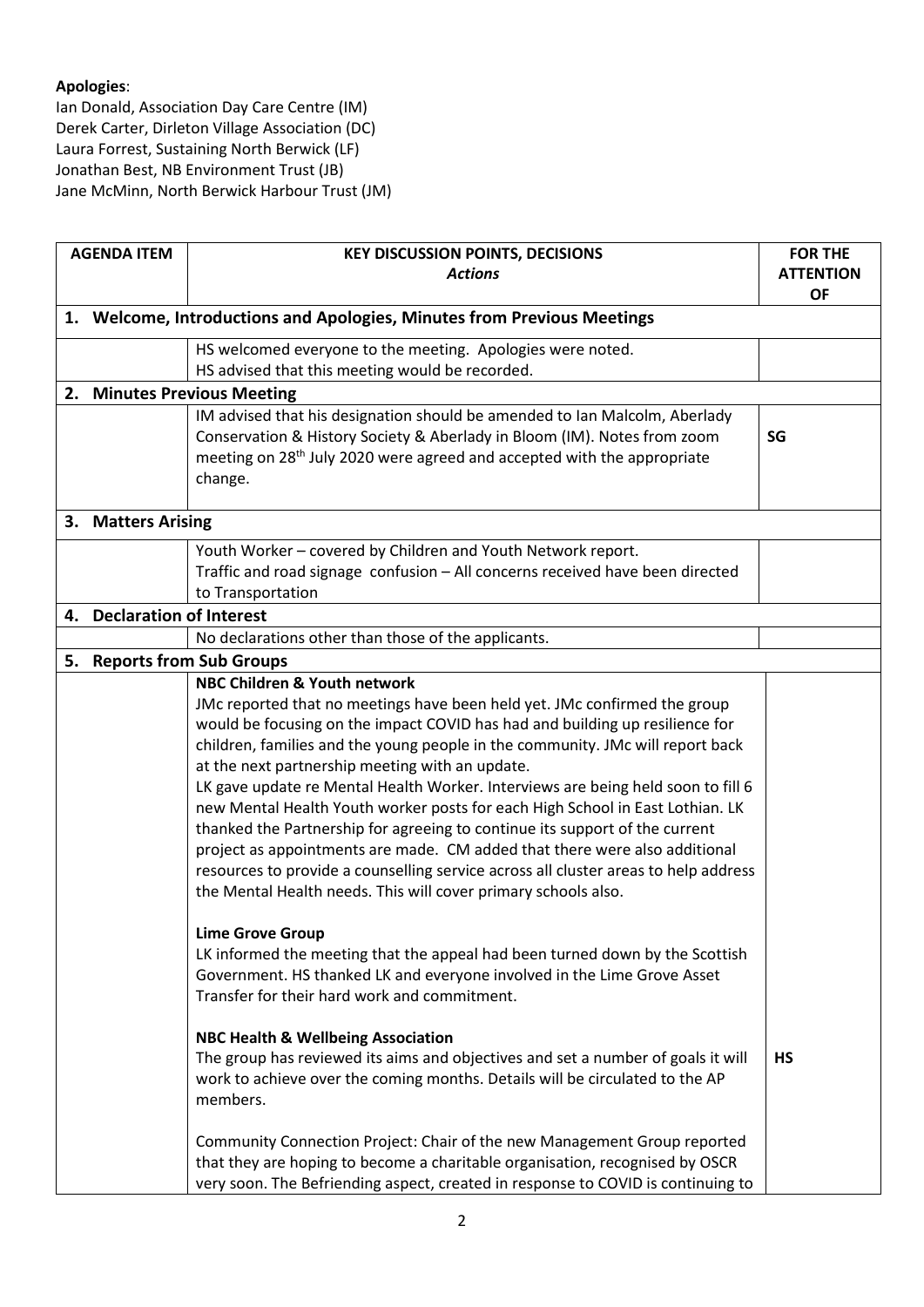## **Apologies**:

Ian Donald, Association Day Care Centre (IM) Derek Carter, Dirleton Village Association (DC) Laura Forrest, Sustaining North Berwick (LF) Jonathan Best, NB Environment Trust (JB) Jane McMinn, North Berwick Harbour Trust (JM)

| <b>AGENDA ITEM</b> |                                                                                | <b>KEY DISCUSSION POINTS, DECISIONS</b>                                                                                                                           | <b>FOR THE</b>   |  |  |
|--------------------|--------------------------------------------------------------------------------|-------------------------------------------------------------------------------------------------------------------------------------------------------------------|------------------|--|--|
|                    |                                                                                | <b>Actions</b>                                                                                                                                                    | <b>ATTENTION</b> |  |  |
|                    |                                                                                |                                                                                                                                                                   | <b>OF</b>        |  |  |
|                    | 1. Welcome, Introductions and Apologies, Minutes from Previous Meetings        |                                                                                                                                                                   |                  |  |  |
|                    |                                                                                | HS welcomed everyone to the meeting. Apologies were noted.                                                                                                        |                  |  |  |
|                    | HS advised that this meeting would be recorded.<br>2. Minutes Previous Meeting |                                                                                                                                                                   |                  |  |  |
|                    |                                                                                | IM advised that his designation should be amended to Ian Malcolm, Aberlady                                                                                        |                  |  |  |
|                    |                                                                                | Conservation & History Society & Aberlady in Bloom (IM). Notes from zoom                                                                                          | SG               |  |  |
|                    |                                                                                | meeting on 28 <sup>th</sup> July 2020 were agreed and accepted with the appropriate                                                                               |                  |  |  |
|                    |                                                                                | change.                                                                                                                                                           |                  |  |  |
|                    |                                                                                |                                                                                                                                                                   |                  |  |  |
|                    | 3. Matters Arising                                                             |                                                                                                                                                                   |                  |  |  |
|                    |                                                                                | Youth Worker - covered by Children and Youth Network report.                                                                                                      |                  |  |  |
|                    |                                                                                | Traffic and road signage confusion - All concerns received have been directed                                                                                     |                  |  |  |
|                    |                                                                                | to Transportation                                                                                                                                                 |                  |  |  |
| 4.                 | <b>Declaration of Interest</b>                                                 |                                                                                                                                                                   |                  |  |  |
|                    |                                                                                | No declarations other than those of the applicants.                                                                                                               |                  |  |  |
| 5.                 |                                                                                | <b>Reports from Sub Groups</b>                                                                                                                                    |                  |  |  |
|                    |                                                                                | NBC Children & Youth network                                                                                                                                      |                  |  |  |
|                    |                                                                                | JMc reported that no meetings have been held yet. JMc confirmed the group                                                                                         |                  |  |  |
|                    |                                                                                | would be focusing on the impact COVID has had and building up resilience for                                                                                      |                  |  |  |
|                    |                                                                                | children, families and the young people in the community. JMc will report back                                                                                    |                  |  |  |
|                    |                                                                                | at the next partnership meeting with an update.                                                                                                                   |                  |  |  |
|                    |                                                                                | LK gave update re Mental Health Worker. Interviews are being held soon to fill 6<br>new Mental Health Youth worker posts for each High School in East Lothian. LK |                  |  |  |
|                    |                                                                                | thanked the Partnership for agreeing to continue its support of the current                                                                                       |                  |  |  |
|                    |                                                                                | project as appointments are made. CM added that there were also additional                                                                                        |                  |  |  |
|                    |                                                                                | resources to provide a counselling service across all cluster areas to help address                                                                               |                  |  |  |
|                    |                                                                                | the Mental Health needs. This will cover primary schools also.                                                                                                    |                  |  |  |
|                    |                                                                                |                                                                                                                                                                   |                  |  |  |
|                    |                                                                                | <b>Lime Grove Group</b>                                                                                                                                           |                  |  |  |
|                    |                                                                                | LK informed the meeting that the appeal had been turned down by the Scottish                                                                                      |                  |  |  |
|                    |                                                                                | Government. HS thanked LK and everyone involved in the Lime Grove Asset                                                                                           |                  |  |  |
|                    |                                                                                | Transfer for their hard work and commitment.                                                                                                                      |                  |  |  |
|                    |                                                                                | <b>NBC Health &amp; Wellbeing Association</b>                                                                                                                     |                  |  |  |
|                    |                                                                                | The group has reviewed its aims and objectives and set a number of goals it will                                                                                  | <b>HS</b>        |  |  |
|                    |                                                                                | work to achieve over the coming months. Details will be circulated to the AP                                                                                      |                  |  |  |
|                    |                                                                                | members.                                                                                                                                                          |                  |  |  |
|                    |                                                                                | Community Connection Project: Chair of the new Management Group reported                                                                                          |                  |  |  |
|                    |                                                                                | that they are hoping to become a charitable organisation, recognised by OSCR                                                                                      |                  |  |  |
|                    |                                                                                | very soon. The Befriending aspect, created in response to COVID is continuing to                                                                                  |                  |  |  |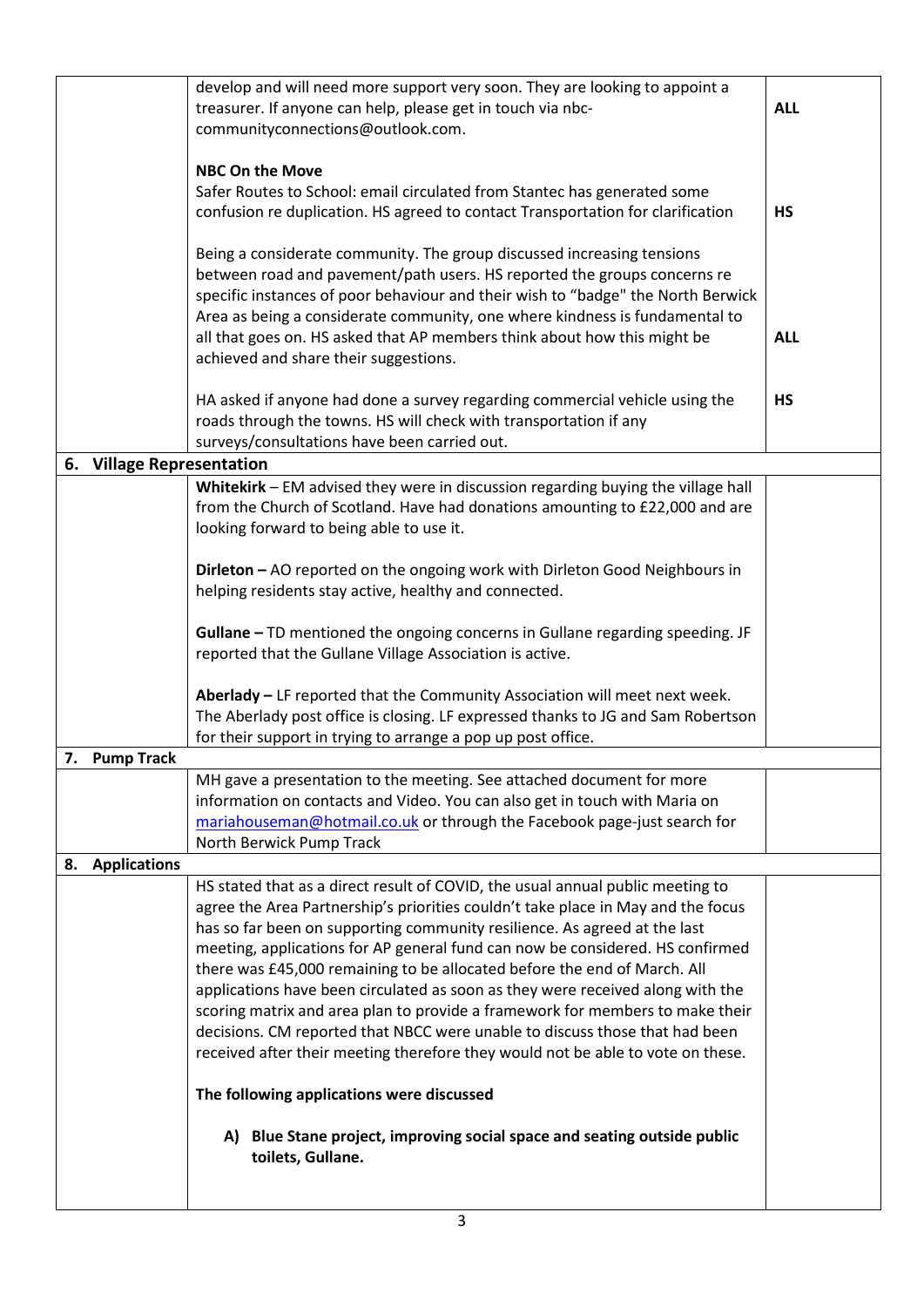| develop and will need more support very soon. They are looking to appoint a<br>treasurer. If anyone can help, please get in touch via nbc-<br>communityconnections@outlook.com. |                                                                                                                                                                                                                                                                                                                                                                                                                                                                                                                                                                                                                                                                                                                                                                                                                                                                                                 | <b>ALL</b>              |
|---------------------------------------------------------------------------------------------------------------------------------------------------------------------------------|-------------------------------------------------------------------------------------------------------------------------------------------------------------------------------------------------------------------------------------------------------------------------------------------------------------------------------------------------------------------------------------------------------------------------------------------------------------------------------------------------------------------------------------------------------------------------------------------------------------------------------------------------------------------------------------------------------------------------------------------------------------------------------------------------------------------------------------------------------------------------------------------------|-------------------------|
|                                                                                                                                                                                 | <b>NBC On the Move</b><br>Safer Routes to School: email circulated from Stantec has generated some<br>confusion re duplication. HS agreed to contact Transportation for clarification<br>Being a considerate community. The group discussed increasing tensions<br>between road and pavement/path users. HS reported the groups concerns re<br>specific instances of poor behaviour and their wish to "badge" the North Berwick<br>Area as being a considerate community, one where kindness is fundamental to<br>all that goes on. HS asked that AP members think about how this might be                                                                                                                                                                                                                                                                                                      | <b>HS</b><br><b>ALL</b> |
|                                                                                                                                                                                 | achieved and share their suggestions.<br>HA asked if anyone had done a survey regarding commercial vehicle using the<br>roads through the towns. HS will check with transportation if any<br>surveys/consultations have been carried out.                                                                                                                                                                                                                                                                                                                                                                                                                                                                                                                                                                                                                                                       | <b>HS</b>               |
| 6. Village Representation                                                                                                                                                       |                                                                                                                                                                                                                                                                                                                                                                                                                                                                                                                                                                                                                                                                                                                                                                                                                                                                                                 |                         |
|                                                                                                                                                                                 | Whitekirk - EM advised they were in discussion regarding buying the village hall<br>from the Church of Scotland. Have had donations amounting to £22,000 and are<br>looking forward to being able to use it.                                                                                                                                                                                                                                                                                                                                                                                                                                                                                                                                                                                                                                                                                    |                         |
|                                                                                                                                                                                 | Dirleton - AO reported on the ongoing work with Dirleton Good Neighbours in<br>helping residents stay active, healthy and connected.                                                                                                                                                                                                                                                                                                                                                                                                                                                                                                                                                                                                                                                                                                                                                            |                         |
|                                                                                                                                                                                 | Gullane - TD mentioned the ongoing concerns in Gullane regarding speeding. JF<br>reported that the Gullane Village Association is active.                                                                                                                                                                                                                                                                                                                                                                                                                                                                                                                                                                                                                                                                                                                                                       |                         |
|                                                                                                                                                                                 | Aberlady - LF reported that the Community Association will meet next week.<br>The Aberlady post office is closing. LF expressed thanks to JG and Sam Robertson<br>for their support in trying to arrange a pop up post office.                                                                                                                                                                                                                                                                                                                                                                                                                                                                                                                                                                                                                                                                  |                         |
| 7. Pump Track                                                                                                                                                                   |                                                                                                                                                                                                                                                                                                                                                                                                                                                                                                                                                                                                                                                                                                                                                                                                                                                                                                 |                         |
|                                                                                                                                                                                 | MH gave a presentation to the meeting. See attached document for more<br>information on contacts and Video. You can also get in touch with Maria on                                                                                                                                                                                                                                                                                                                                                                                                                                                                                                                                                                                                                                                                                                                                             |                         |
|                                                                                                                                                                                 | mariahouseman@hotmail.co.uk or through the Facebook page-just search for                                                                                                                                                                                                                                                                                                                                                                                                                                                                                                                                                                                                                                                                                                                                                                                                                        |                         |
|                                                                                                                                                                                 | North Berwick Pump Track                                                                                                                                                                                                                                                                                                                                                                                                                                                                                                                                                                                                                                                                                                                                                                                                                                                                        |                         |
| 8. Applications                                                                                                                                                                 |                                                                                                                                                                                                                                                                                                                                                                                                                                                                                                                                                                                                                                                                                                                                                                                                                                                                                                 |                         |
|                                                                                                                                                                                 | HS stated that as a direct result of COVID, the usual annual public meeting to<br>agree the Area Partnership's priorities couldn't take place in May and the focus<br>has so far been on supporting community resilience. As agreed at the last<br>meeting, applications for AP general fund can now be considered. HS confirmed<br>there was £45,000 remaining to be allocated before the end of March. All<br>applications have been circulated as soon as they were received along with the<br>scoring matrix and area plan to provide a framework for members to make their<br>decisions. CM reported that NBCC were unable to discuss those that had been<br>received after their meeting therefore they would not be able to vote on these.<br>The following applications were discussed<br>A) Blue Stane project, improving social space and seating outside public<br>toilets, Gullane. |                         |
|                                                                                                                                                                                 |                                                                                                                                                                                                                                                                                                                                                                                                                                                                                                                                                                                                                                                                                                                                                                                                                                                                                                 |                         |